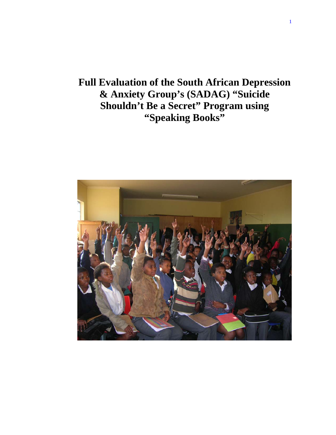# **Full Evaluation of the South African Depression & Anxiety Group's (SADAG) "Suicide Shouldn't Be a Secret" Program using "Speaking Books"**

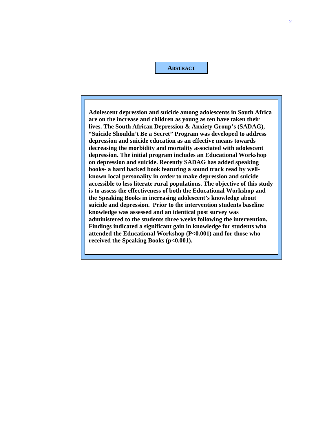**ABSTRACT**

**Adolescent depression and suicide among adolescents in South Africa are on the increase and children as young as ten have taken their lives. The South African Depression & Anxiety Group's (SADAG), "Suicide Shouldn't Be a Secret" Program was developed to address depression and suicide education as an effective means towards decreasing the morbidity and mortality associated with adolescent depression. The initial program includes an Educational Workshop on depression and suicide. Recently SADAG has added speaking books- a hard backed book featuring a sound track read by wellknown local personality in order to make depression and suicide accessible to less literate rural populations. The objective of this study is to assess the effectiveness of both the Educational Workshop and the Speaking Books in increasing adolescent's knowledge about suicide and depression. Prior to the intervention students baseline knowledge was assessed and an identical post survey was administered to the students three weeks following the intervention. Findings indicated a significant gain in knowledge for students who attended the Educational Workshop (P<0.001) and for those who**  received the Speaking Books (p<0.001).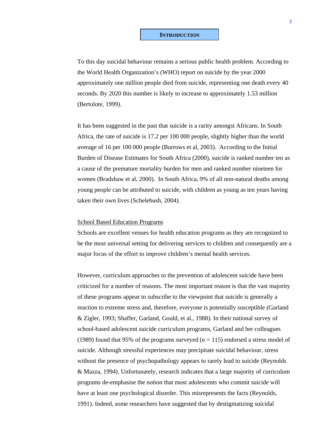To this day suicidal behaviour remains a serious public health problem. According to the World Health Organization's (WHO) report on suicide by the year 2000 approximately one million people died from suicide, representing one death every 40 seconds. By 2020 this number is likely to increase to approximately 1.53 million (Bertolote, 1999).

It has been suggested in the past that suicide is a rarity amongst Africans. In South Africa, the rate of suicide is 17.2 per 100 000 people, slightly higher than the world average of 16 per 100 000 people (Burrows et al, 2003). According to the Initial Burden of Disease Estimates for South Africa (2000), suicide is ranked number ten as a cause of the premature mortality burden for men and ranked number nineteen for women (Bradshaw et al, 2000). In South Africa, 9% of all non-natural deaths among young people can be attributed to suicide, with children as young as ten years having taken their own lives (Schelebush, 2004).

#### School Based Education Programs

Schools are excellent venues for health education programs as they are recognized to be the most universal setting for delivering services to children and consequently are a major focus of the effort to improve children's mental health services.

However, curriculum approaches to the prevention of adolescent suicide have been criticized for a number of reasons. The most important reason is that the vast majority of these programs appear to subscribe to the viewpoint that suicide is generally a reaction to extreme stress and, therefore, everyone is potentially susceptible (Garland & Zigler, 1993; Shaffer, Garland, Gould, et al., 1988). In their national survey of school-based adolescent suicide curriculum programs, Garland and her colleagues (1989) found that 95% of the programs surveyed ( $n = 115$ ) endorsed a stress model of suicide. Although stressful experiences may precipitate suicidal behaviour, stress without the presence of psychopathology appears to rarely lead to suicide (Reynolds & Mazza, 1994). Unfortunately, research indicates that a large majority of curriculum programs de-emphasise the notion that most adolescents who commit suicide will have at least one psychological disorder. This misrepresents the facts (Reynolds, 1991). Indeed, some researchers have suggested that by destigmatizing suicidal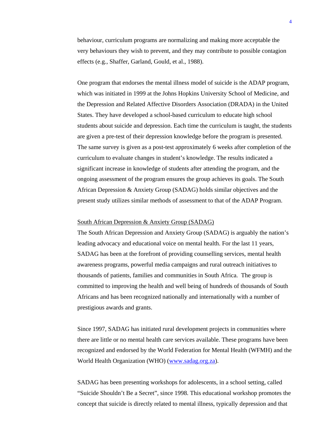behaviour, curriculum programs are normalizing and making more acceptable the very behaviours they wish to prevent, and they may contribute to possible contagion effects (e.g., Shaffer, Garland, Gould, et al., 1988).

One program that endorses the mental illness model of suicide is the ADAP program, which was initiated in 1999 at the Johns Hopkins University School of Medicine, and the Depression and Related Affective Disorders Association (DRADA) in the United States. They have developed a school-based curriculum to educate high school students about suicide and depression. Each time the curriculum is taught, the students are given a pre-test of their depression knowledge before the program is presented. The same survey is given as a post-test approximately 6 weeks after completion of the curriculum to evaluate changes in student's knowledge. The results indicated a significant increase in knowledge of students after attending the program, and the ongoing assessment of the program ensures the group achieves its goals. The South African Depression & Anxiety Group (SADAG) holds similar objectives and the present study utilizes similar methods of assessment to that of the ADAP Program.

#### South African Depression & Anxiety Group (SADAG)

The South African Depression and Anxiety Group (SADAG) is arguably the nation's leading advocacy and educational voice on mental health. For the last 11 years, SADAG has been at the forefront of providing counselling services, mental health awareness programs, powerful media campaigns and rural outreach initiatives to thousands of patients, families and communities in South Africa. The group is committed to improving the health and well being of hundreds of thousands of South Africans and has been recognized nationally and internationally with a number of prestigious awards and grants.

Since 1997, SADAG has initiated rural development projects in communities where there are little or no mental health care services available. These programs have been recognized and endorsed by the World Federation for Mental Health (WFMH) and the World Health Organization (WHO) (www.sadag.org.za).

SADAG has been presenting workshops for adolescents, in a school setting, called "Suicide Shouldn't Be a Secret", since 1998. This educational workshop promotes the concept that suicide is directly related to mental illness, typically depression and that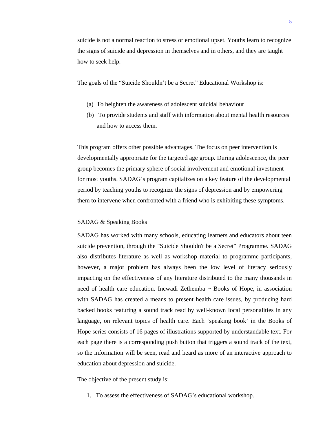suicide is not a normal reaction to stress or emotional upset. Youths learn to recognize the signs of suicide and depression in themselves and in others, and they are taught how to seek help.

The goals of the "Suicide Shouldn't be a Secret" Educational Workshop is:

- (a) To heighten the awareness of adolescent suicidal behaviour
- (b) To provide students and staff with information about mental health resources and how to access them.

This program offers other possible advantages. The focus on peer intervention is developmentally appropriate for the targeted age group. During adolescence, the peer group becomes the primary sphere of social involvement and emotional investment for most youths. SADAG's program capitalizes on a key feature of the developmental period by teaching youths to recognize the signs of depression and by empowering them to intervene when confronted with a friend who is exhibiting these symptoms.

#### SADAG & Speaking Books

SADAG has worked with many schools, educating learners and educators about teen suicide prevention, through the "Suicide Shouldn't be a Secret" Programme. SADAG also distributes literature as well as workshop material to programme participants, however, a major problem has always been the low level of literacy seriously impacting on the effectiveness of any literature distributed to the many thousands in need of health care education. Incwadi Zethemba  $\sim$  Books of Hope, in association with SADAG has created a means to present health care issues, by producing hard backed books featuring a sound track read by well-known local personalities in any language, on relevant topics of health care. Each 'speaking book' in the Books of Hope series consists of 16 pages of illustrations supported by understandable text. For each page there is a corresponding push button that triggers a sound track of the text, so the information will be seen, read and heard as more of an interactive approach to education about depression and suicide.

The objective of the present study is:

1. To assess the effectiveness of SADAG's educational workshop.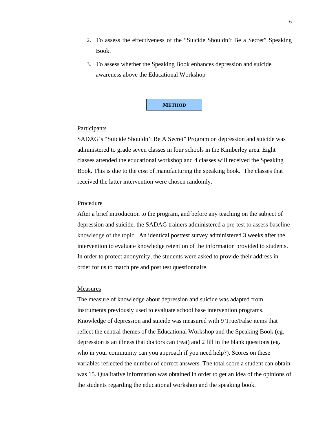- 2. To assess the effectiveness of the "Suicide Shouldn't Be a Secret" Speaking Book.
- 3. To assess whether the Speaking Book enhances depression and suicide awareness above the Educational Workshop



## **Participants**

SADAG's "Suicide Shouldn't Be A Secret" Program on depression and suicide was administered to grade seven classes in four schools in the Kimberley area. Eight classes attended the educational workshop and 4 classes will received the Speaking Book. This is due to the cost of manufacturing the speaking book. The classes that received the latter intervention were chosen randomly.

#### Procedure

After a brief introduction to the program, and before any teaching on the subject of depression and suicide, the SADAG trainers administered a pre-test to assess baseline knowledge of the topic. An identical posttest survey administered 3 weeks after the intervention to evaluate knowledge retention of the information provided to students. In order to protect anonymity, the students were asked to provide their address in order for us to match pre and post test questionnaire.

#### **Measures**

The measure of knowledge about depression and suicide was adapted from instruments previously used to evaluate school base intervention programs. Knowledge of depression and suicide was measured with 9 True/False items that reflect the central themes of the Educational Workshop and the Speaking Book (eg. depression is an illness that doctors can treat) and 2 fill in the blank questions (eg. who in your community can you approach if you need help?). Scores on these variables reflected the number of correct answers. The total score a student can obtain was 15. Qualitative information was obtained in order to get an idea of the opinions of the students regarding the educational workshop and the speaking book.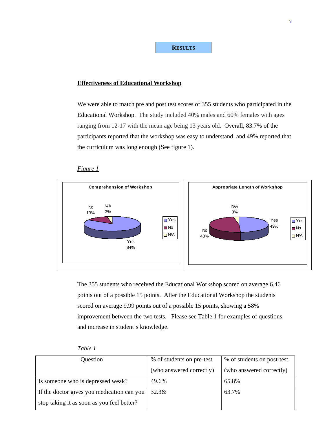**RESULTS**

## **Effectiveness of Educational Workshop**

We were able to match pre and post test scores of 355 students who participated in the Educational Workshop. The study included 40% males and 60% females with ages ranging from 12-17 with the mean age being 13 years old. Overall, 83.7% of the participants reported that the workshop was easy to understand, and 49% reported that the curriculum was long enough (See figure 1).

## *Figure 1*



The 355 students who received the Educational Workshop scored on average 6.46 points out of a possible 15 points. After the Educational Workshop the students scored on average 9.99 points out of a possible 15 points, showing a 58% improvement between the two tests. Please see Table 1 for examples of questions and increase in student's knowledge.

| apte |  |
|------|--|
|------|--|

| Question                                   | % of students on pre-test | % of students on post-test |
|--------------------------------------------|---------------------------|----------------------------|
|                                            | (who answered correctly)  | (who answered correctly)   |
| Is someone who is depressed weak?          | 49.6%                     | 65.8%                      |
| If the doctor gives you medication can you | 32.3&                     | 63.7%                      |
| stop taking it as soon as you feel better? |                           |                            |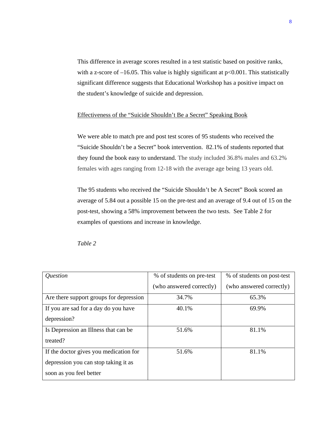This difference in average scores resulted in a test statistic based on positive ranks, with a z-score of  $-16.05$ . This value is highly significant at  $p<0.001$ . This statistically significant difference suggests that Educational Workshop has a positive impact on the student's knowledge of suicide and depression.

# Effectiveness of the "Suicide Shouldn't Be a Secret" Speaking Book

We were able to match pre and post test scores of 95 students who received the "Suicide Shouldn't be a Secret" book intervention. 82.1% of students reported that they found the book easy to understand. The study included 36.8% males and 63.2% females with ages ranging from 12-18 with the average age being 13 years old.

The 95 students who received the "Suicide Shouldn't be A Secret" Book scored an average of 5.84 out a possible 15 on the pre-test and an average of 9.4 out of 15 on the post-test, showing a 58% improvement between the two tests. See Table 2 for examples of questions and increase in knowledge.

*Table 2* 

| <i><u><b>Ouestion</b></u></i>           | % of students on pre-test | % of students on post-test |
|-----------------------------------------|---------------------------|----------------------------|
|                                         | (who answered correctly)  | (who answered correctly)   |
| Are there support groups for depression | 34.7%                     | 65.3%                      |
| If you are sad for a day do you have    | 40.1%                     | 69.9%                      |
| depression?                             |                           |                            |
| Is Depression an Illness that can be    | 51.6%                     | 81.1%                      |
| treated?                                |                           |                            |
| If the doctor gives you medication for  | 51.6%                     | 81.1%                      |
| depression you can stop taking it as    |                           |                            |
| soon as you feel better                 |                           |                            |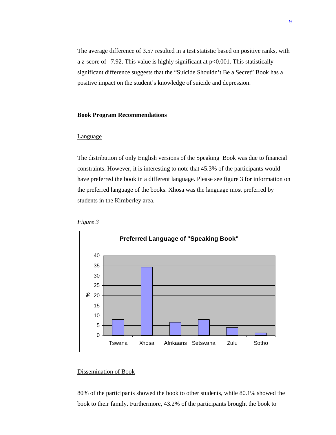The average difference of 3.57 resulted in a test statistic based on positive ranks, with a z-score of  $-7.92$ . This value is highly significant at  $p<0.001$ . This statistically significant difference suggests that the "Suicide Shouldn't Be a Secret" Book has a positive impact on the student's knowledge of suicide and depression.

# **Book Program Recommendations**

## Language

The distribution of only English versions of the Speaking Book was due to financial constraints. However, it is interesting to note that 45.3% of the participants would have preferred the book in a different language. Please see figure 3 for information on the preferred language of the books. Xhosa was the language most preferred by students in the Kimberley area.





# Dissemination of Book

80% of the participants showed the book to other students, while 80.1% showed the book to their family. Furthermore, 43.2% of the participants brought the book to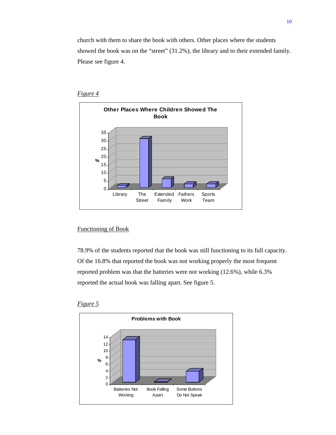church with them to share the book with others. Other places where the students showed the book was on the "street" (31.2%), the library and to their extended family. Please see figure 4.



# *Figure 4*

# Functioning of Book

78.9% of the students reported that the book was still functioning to its full capacity. Of the 16.8% that reported the book was not working properly the most frequent reported problem was that the batteries were not working (12.6%), while 6.3% reported the actual book was falling apart. See figure 5.



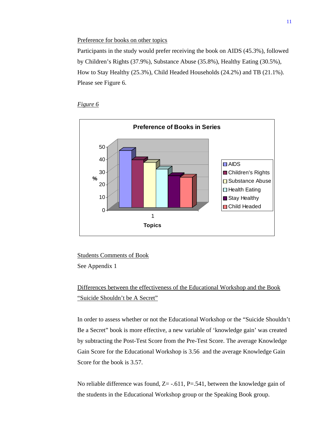#### Preference for books on other topics

Participants in the study would prefer receiving the book on AIDS (45.3%), followed by Children's Rights (37.9%), Substance Abuse (35.8%), Healthy Eating (30.5%), How to Stay Healthy (25.3%), Child Headed Households (24.2%) and TB (21.1%). Please see Figure 6.





Students Comments of Book

See Appendix 1

Differences between the effectiveness of the Educational Workshop and the Book "Suicide Shouldn't be A Secret"

In order to assess whether or not the Educational Workshop or the "Suicide Shouldn't Be a Secret" book is more effective, a new variable of 'knowledge gain' was created by subtracting the Post-Test Score from the Pre-Test Score. The average Knowledge Gain Score for the Educational Workshop is 3.56 and the average Knowledge Gain Score for the book is 3.57.

No reliable difference was found,  $Z = -0.611$ ,  $P = 0.541$ , between the knowledge gain of the students in the Educational Workshop group or the Speaking Book group.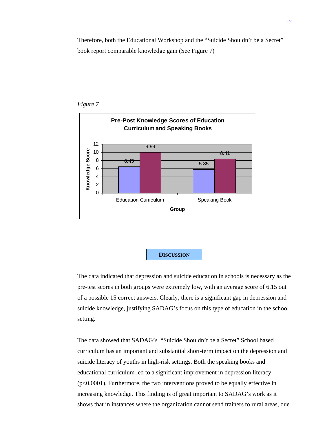Therefore, both the Educational Workshop and the "Suicide Shouldn't be a Secret" book report comparable knowledge gain (See Figure 7)







The data indicated that depression and suicide education in schools is necessary as the pre-test scores in both groups were extremely low, with an average score of 6.15 out of a possible 15 correct answers. Clearly, there is a significant gap in depression and suicide knowledge, justifying SADAG's focus on this type of education in the school setting.

The data showed that SADAG's "Suicide Shouldn't be a Secret" School based curriculum has an important and substantial short-term impact on the depression and suicide literacy of youths in high-risk settings. Both the speaking books and educational curriculum led to a significant improvement in depression literacy (p<0.0001). Furthermore, the two interventions proved to be equally effective in increasing knowledge. This finding is of great important to SADAG's work as it shows that in instances where the organization cannot send trainers to rural areas, due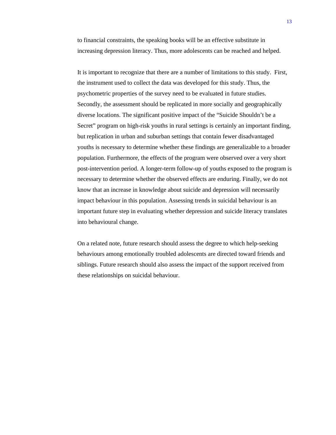to financial constraints, the speaking books will be an effective substitute in increasing depression literacy. Thus, more adolescents can be reached and helped.

It is important to recognize that there are a number of limitations to this study. First, the instrument used to collect the data was developed for this study. Thus, the psychometric properties of the survey need to be evaluated in future studies. Secondly, the assessment should be replicated in more socially and geographically diverse locations. The significant positive impact of the "Suicide Shouldn't be a Secret" program on high-risk youths in rural settings is certainly an important finding, but replication in urban and suburban settings that contain fewer disadvantaged youths is necessary to determine whether these findings are generalizable to a broader population. Furthermore, the effects of the program were observed over a very short post-intervention period. A longer-term follow-up of youths exposed to the program is necessary to determine whether the observed effects are enduring. Finally, we do not know that an increase in knowledge about suicide and depression will necessarily impact behaviour in this population. Assessing trends in suicidal behaviour is an important future step in evaluating whether depression and suicide literacy translates into behavioural change.

On a related note, future research should assess the degree to which help-seeking behaviours among emotionally troubled adolescents are directed toward friends and siblings. Future research should also assess the impact of the support received from these relationships on suicidal behaviour.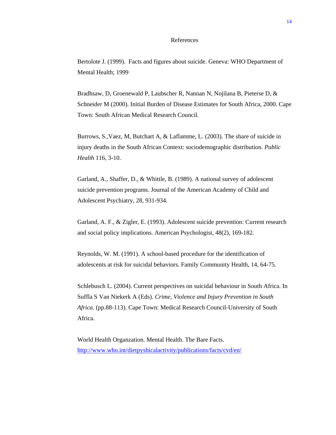## References

Bertolote J. (1999). Facts and figures about suicide. Geneva: WHO Department of Mental Health; 1999

Bradhsaw, D, Groenewald P, Laubscher R, Nannan N, Nojilana B, Pieterse D, & Schneider M (2000). Initial Burden of Disease Estimates for South Africa, 2000. Cape Town: South African Medical Research Council.

Burrows, S.,Vaez, M, Butchart A, & Laflamme, L. (2003). The share of suicide in injury deaths in the South African Context: sociodemographic distribution. *Public Health* 116, 3-10.

Garland, A., Shaffer, D., & Whittle, B. (1989). A national survey of adolescent suicide prevention programs. Journal of the American Academy of Child and Adolescent Psychiatry, 28, 931-934.

Garland, A. F., & Zigler, E. (1993). Adolescent suicide prevention: Current research and social policy implications. American Psychologist, 48(2), 169-182.

Reynolds, W. M. (1991). A school-based procedure for the identification of adolescents at risk for suicidal behaviors. Family Community Health, 14, 64-75.

Schlebusch L. (2004). Current perspectives on suicidal behaviour in South Africa. In Suffla S Van Niekerk A (Eds). *Crime, Violence and Injury Prevention in South Africa*. (pp.88-113). Cape Town: Medical Research Council-University of South Africa.

World Health Organzation. Mental Health. The Bare Facts. http://www.who.int/dietpyshicalactivity/publications/facts/cvd/en/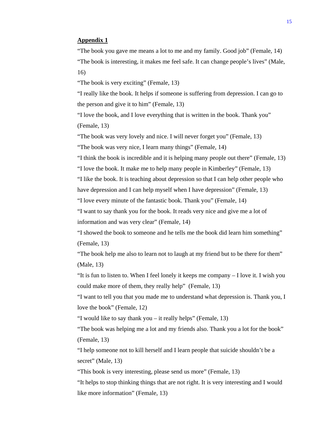# **Appendix 1**

"The book you gave me means a lot to me and my family. Good job" (Female, 14) "The book is interesting, it makes me feel safe. It can change people's lives" (Male, 16)

"The book is very exciting" (Female, 13)

"I really like the book. It helps if someone is suffering from depression. I can go to the person and give it to him" (Female, 13)

"I love the book, and I love everything that is written in the book. Thank you" (Female, 13)

"The book was very lovely and nice. I will never forget you" (Female, 13)

"The book was very nice, I learn many things" (Female, 14)

"I think the book is incredible and it is helping many people out there" (Female, 13)

"I love the book. It make me to help many people in Kimberley" (Female, 13)

"I like the book. It is teaching about depression so that I can help other people who

have depression and I can help myself when I have depression" (Female, 13)

"I love every minute of the fantastic book. Thank you" (Female, 14)

"I want to say thank you for the book. It reads very nice and give me a lot of information and was very clear" (Female, 14)

"I showed the book to someone and he tells me the book did learn him something" (Female, 13)

"The book help me also to learn not to laugh at my friend but to be there for them" (Male, 13)

"It is fun to listen to. When I feel lonely it keeps me company – I love it. I wish you could make more of them, they really help" (Female, 13)

"I want to tell you that you made me to understand what depression is. Thank you, I love the book" (Female, 12)

"I would like to say thank you – it really helps" (Female, 13)

"The book was helping me a lot and my friends also. Thank you a lot for the book" (Female, 13)

"I help someone not to kill herself and I learn people that suicide shouldn't be a secret" (Male, 13)

"This book is very interesting, please send us more" (Female, 13)

"It helps to stop thinking things that are not right. It is very interesting and I would like more information" (Female, 13)